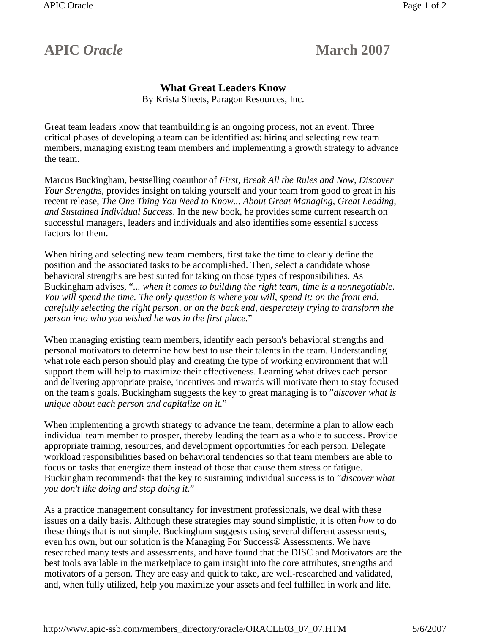## **APIC** *Oracle* **March 2007**

## **What Great Leaders Know**

By Krista Sheets, Paragon Resources, Inc.

Great team leaders know that teambuilding is an ongoing process, not an event. Three critical phases of developing a team can be identified as: hiring and selecting new team members, managing existing team members and implementing a growth strategy to advance the team.

Marcus Buckingham, bestselling coauthor of *First, Break All the Rules and Now, Discover Your Strengths*, provides insight on taking yourself and your team from good to great in his recent release, *The One Thing You Need to Know... About Great Managing, Great Leading, and Sustained Individual Success*. In the new book, he provides some current research on successful managers, leaders and individuals and also identifies some essential success factors for them.

When hiring and selecting new team members, first take the time to clearly define the position and the associated tasks to be accomplished. Then, select a candidate whose behavioral strengths are best suited for taking on those types of responsibilities. As Buckingham advises, "*... when it comes to building the right team, time is a nonnegotiable. You will spend the time. The only question is where you will, spend it: on the front end, carefully selecting the right person, or on the back end, desperately trying to transform the person into who you wished he was in the first place.*"

When managing existing team members, identify each person's behavioral strengths and personal motivators to determine how best to use their talents in the team. Understanding what role each person should play and creating the type of working environment that will support them will help to maximize their effectiveness. Learning what drives each person and delivering appropriate praise, incentives and rewards will motivate them to stay focused on the team's goals. Buckingham suggests the key to great managing is to "*discover what is unique about each person and capitalize on it.*"

When implementing a growth strategy to advance the team, determine a plan to allow each individual team member to prosper, thereby leading the team as a whole to success. Provide appropriate training, resources, and development opportunities for each person. Delegate workload responsibilities based on behavioral tendencies so that team members are able to focus on tasks that energize them instead of those that cause them stress or fatigue. Buckingham recommends that the key to sustaining individual success is to "*discover what you don't like doing and stop doing it.*"

As a practice management consultancy for investment professionals, we deal with these issues on a daily basis. Although these strategies may sound simplistic, it is often *how* to do these things that is not simple. Buckingham suggests using several different assessments, even his own, but our solution is the Managing For Success® Assessments. We have researched many tests and assessments, and have found that the DISC and Motivators are the best tools available in the marketplace to gain insight into the core attributes, strengths and motivators of a person. They are easy and quick to take, are well-researched and validated, and, when fully utilized, help you maximize your assets and feel fulfilled in work and life.